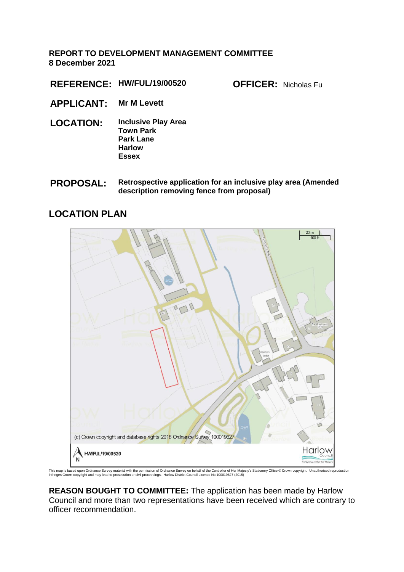## **REPORT TO DEVELOPMENT MANAGEMENT COMMITTEE 8 December 2021**

**REFERENCE: HW/FUL/19/00520 OFFICER:** Nicholas Fu

- **APPLICANT: Mr M Levett**
- **LOCATION: Inclusive Play Area Town Park Park Lane Harlow Essex**
- **PROPOSAL: Retrospective application for an inclusive play area (Amended description removing fence from proposal)**

# **LOCATION PLAN**



This map is based upon Ordnance Survey material with the permission of Ordnance Survey on behalf of the Controller of Her Majesty's Stationery Office © Crown copyright. Unauthorised reproduction<br>infringes Crown copyright

**REASON BOUGHT TO COMMITTEE:** The application has been made by Harlow Council and more than two representations have been received which are contrary to officer recommendation.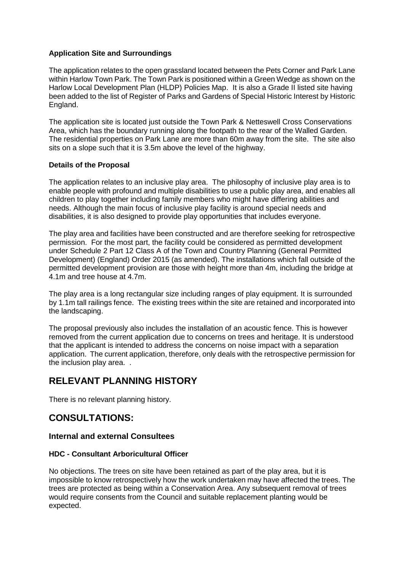## **Application Site and Surroundings**

The application relates to the open grassland located between the Pets Corner and Park Lane within Harlow Town Park. The Town Park is positioned within a Green Wedge as shown on the Harlow Local Development Plan (HLDP) Policies Map. It is also a Grade II listed site having been added to the list of Register of Parks and Gardens of Special Historic Interest by Historic England.

The application site is located just outside the Town Park & Netteswell Cross Conservations Area, which has the boundary running along the footpath to the rear of the Walled Garden. The residential properties on Park Lane are more than 60m away from the site. The site also sits on a slope such that it is 3.5m above the level of the highway.

#### **Details of the Proposal**

The application relates to an inclusive play area. The philosophy of inclusive play area is to enable people with profound and multiple disabilities to use a public play area, and enables all children to play together including family members who might have differing abilities and needs. Although the main focus of inclusive play facility is around special needs and disabilities, it is also designed to provide play opportunities that includes everyone.

The play area and facilities have been constructed and are therefore seeking for retrospective permission. For the most part, the facility could be considered as permitted development under Schedule 2 Part 12 Class A of the Town and Country Planning (General Permitted Development) (England) Order 2015 (as amended). The installations which fall outside of the permitted development provision are those with height more than 4m, including the bridge at 4.1m and tree house at 4.7m.

The play area is a long rectangular size including ranges of play equipment. It is surrounded by 1.1m tall railings fence. The existing trees within the site are retained and incorporated into the landscaping.

The proposal previously also includes the installation of an acoustic fence. This is however removed from the current application due to concerns on trees and heritage. It is understood that the applicant is intended to address the concerns on noise impact with a separation application. The current application, therefore, only deals with the retrospective permission for the inclusion play area. .

# **RELEVANT PLANNING HISTORY**

There is no relevant planning history.

# **CONSULTATIONS:**

## **Internal and external Consultees**

#### **HDC - Consultant Arboricultural Officer**

No objections. The trees on site have been retained as part of the play area, but it is impossible to know retrospectively how the work undertaken may have affected the trees. The trees are protected as being within a Conservation Area. Any subsequent removal of trees would require consents from the Council and suitable replacement planting would be expected.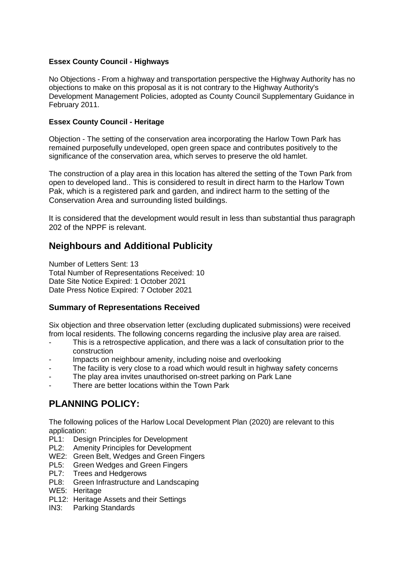## **Essex County Council - Highways**

No Objections - From a highway and transportation perspective the Highway Authority has no objections to make on this proposal as it is not contrary to the Highway Authority's Development Management Policies, adopted as County Council Supplementary Guidance in February 2011.

#### **Essex County Council - Heritage**

Objection - The setting of the conservation area incorporating the Harlow Town Park has remained purposefully undeveloped, open green space and contributes positively to the significance of the conservation area, which serves to preserve the old hamlet.

The construction of a play area in this location has altered the setting of the Town Park from open to developed land.. This is considered to result in direct harm to the Harlow Town Pak, which is a registered park and garden, and indirect harm to the setting of the Conservation Area and surrounding listed buildings.

It is considered that the development would result in less than substantial thus paragraph 202 of the NPPF is relevant.

# **Neighbours and Additional Publicity**

Number of Letters Sent: 13 Total Number of Representations Received: 10 Date Site Notice Expired: 1 October 2021 Date Press Notice Expired: 7 October 2021

## **Summary of Representations Received**

Six objection and three observation letter (excluding duplicated submissions) were received from local residents. The following concerns regarding the inclusive play area are raised.

- This is a retrospective application, and there was a lack of consultation prior to the construction
- Impacts on neighbour amenity, including noise and overlooking
- The facility is very close to a road which would result in highway safety concerns
- The play area invites unauthorised on-street parking on Park Lane
- There are better locations within the Town Park

# **PLANNING POLICY:**

The following polices of the Harlow Local Development Plan (2020) are relevant to this application:

- PL1: Design Principles for Development
- PL2: Amenity Principles for Development
- WE2: Green Belt, Wedges and Green Fingers
- PL5: Green Wedges and Green Fingers
- PL7: Trees and Hedgerows
- PL8: Green Infrastructure and Landscaping
- WE5: Heritage
- PL12: Heritage Assets and their Settings
- IN3: Parking Standards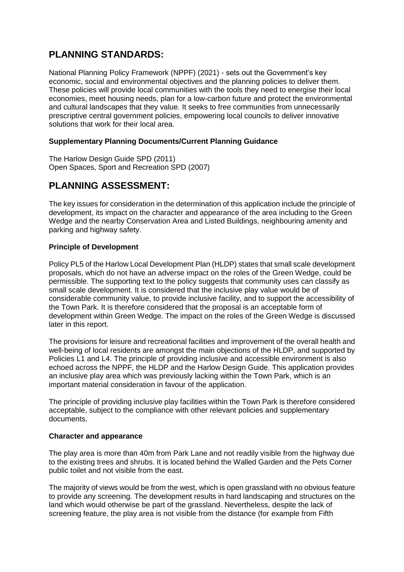# **PLANNING STANDARDS:**

National Planning Policy Framework (NPPF) (2021) - sets out the Government's key economic, social and environmental objectives and the planning policies to deliver them. These policies will provide local communities with the tools they need to energise their local economies, meet housing needs, plan for a low-carbon future and protect the environmental and cultural landscapes that they value. It seeks to free communities from unnecessarily prescriptive central government policies, empowering local councils to deliver innovative solutions that work for their local area.

## **Supplementary Planning Documents/Current Planning Guidance**

The Harlow Design Guide SPD (2011) Open Spaces, Sport and Recreation SPD (2007)

# **PLANNING ASSESSMENT:**

The key issues for consideration in the determination of this application include the principle of development, its impact on the character and appearance of the area including to the Green Wedge and the nearby Conservation Area and Listed Buildings, neighbouring amenity and parking and highway safety.

## **Principle of Development**

Policy PL5 of the Harlow Local Development Plan (HLDP) states that small scale development proposals, which do not have an adverse impact on the roles of the Green Wedge, could be permissible. The supporting text to the policy suggests that community uses can classify as small scale development. It is considered that the inclusive play value would be of considerable community value, to provide inclusive facility, and to support the accessibility of the Town Park. It is therefore considered that the proposal is an acceptable form of development within Green Wedge. The impact on the roles of the Green Wedge is discussed later in this report.

The provisions for leisure and recreational facilities and improvement of the overall health and well-being of local residents are amongst the main objections of the HLDP, and supported by Policies L1 and L4. The principle of providing inclusive and accessible environment is also echoed across the NPPF, the HLDP and the Harlow Design Guide. This application provides an inclusive play area which was previously lacking within the Town Park, which is an important material consideration in favour of the application.

The principle of providing inclusive play facilities within the Town Park is therefore considered acceptable, subject to the compliance with other relevant policies and supplementary documents.

#### **Character and appearance**

The play area is more than 40m from Park Lane and not readily visible from the highway due to the existing trees and shrubs. It is located behind the Walled Garden and the Pets Corner public toilet and not visible from the east.

The majority of views would be from the west, which is open grassland with no obvious feature to provide any screening. The development results in hard landscaping and structures on the land which would otherwise be part of the grassland. Nevertheless, despite the lack of screening feature, the play area is not visible from the distance (for example from Fifth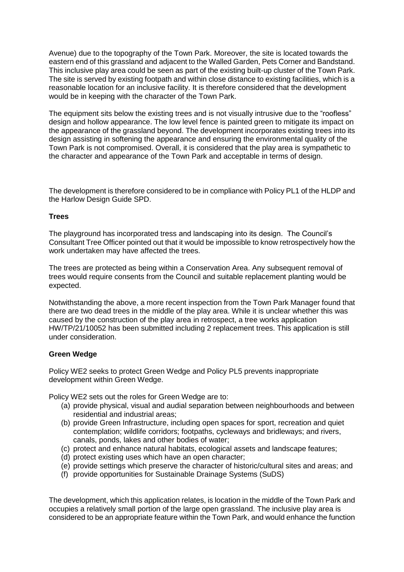Avenue) due to the topography of the Town Park. Moreover, the site is located towards the eastern end of this grassland and adjacent to the Walled Garden, Pets Corner and Bandstand. This inclusive play area could be seen as part of the existing built-up cluster of the Town Park. The site is served by existing footpath and within close distance to existing facilities, which is a reasonable location for an inclusive facility. It is therefore considered that the development would be in keeping with the character of the Town Park.

The equipment sits below the existing trees and is not visually intrusive due to the "roofless" design and hollow appearance. The low level fence is painted green to mitigate its impact on the appearance of the grassland beyond. The development incorporates existing trees into its design assisting in softening the appearance and ensuring the environmental quality of the Town Park is not compromised. Overall, it is considered that the play area is sympathetic to the character and appearance of the Town Park and acceptable in terms of design.

The development is therefore considered to be in compliance with Policy PL1 of the HLDP and the Harlow Design Guide SPD.

#### **Trees**

The playground has incorporated tress and landscaping into its design. The Council's Consultant Tree Officer pointed out that it would be impossible to know retrospectively how the work undertaken may have affected the trees.

The trees are protected as being within a Conservation Area. Any subsequent removal of trees would require consents from the Council and suitable replacement planting would be expected.

Notwithstanding the above, a more recent inspection from the Town Park Manager found that there are two dead trees in the middle of the play area. While it is unclear whether this was caused by the construction of the play area in retrospect, a tree works application HW/TP/21/10052 has been submitted including 2 replacement trees. This application is still under consideration.

#### **Green Wedge**

Policy WE2 seeks to protect Green Wedge and Policy PL5 prevents inappropriate development within Green Wedge.

Policy WE2 sets out the roles for Green Wedge are to:

- (a) provide physical, visual and audial separation between neighbourhoods and between residential and industrial areas;
- (b) provide Green Infrastructure, including open spaces for sport, recreation and quiet contemplation; wildlife corridors; footpaths, cycleways and bridleways; and rivers, canals, ponds, lakes and other bodies of water;
- (c) protect and enhance natural habitats, ecological assets and landscape features;
- (d) protect existing uses which have an open character;
- (e) provide settings which preserve the character of historic/cultural sites and areas; and
- (f) provide opportunities for Sustainable Drainage Systems (SuDS)

The development, which this application relates, is location in the middle of the Town Park and occupies a relatively small portion of the large open grassland. The inclusive play area is considered to be an appropriate feature within the Town Park, and would enhance the function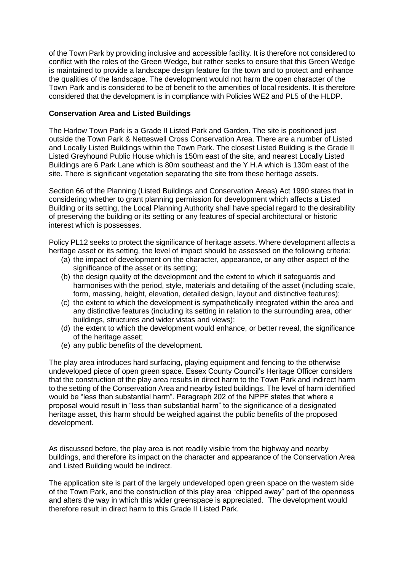of the Town Park by providing inclusive and accessible facility. It is therefore not considered to conflict with the roles of the Green Wedge, but rather seeks to ensure that this Green Wedge is maintained to provide a landscape design feature for the town and to protect and enhance the qualities of the landscape. The development would not harm the open character of the Town Park and is considered to be of benefit to the amenities of local residents. It is therefore considered that the development is in compliance with Policies WE2 and PL5 of the HLDP.

#### **Conservation Area and Listed Buildings**

The Harlow Town Park is a Grade II Listed Park and Garden. The site is positioned just outside the Town Park & Netteswell Cross Conservation Area. There are a number of Listed and Locally Listed Buildings within the Town Park. The closest Listed Building is the Grade II Listed Greyhound Public House which is 150m east of the site, and nearest Locally Listed Buildings are 6 Park Lane which is 80m southeast and the Y.H.A which is 130m east of the site. There is significant vegetation separating the site from these heritage assets.

Section 66 of the Planning (Listed Buildings and Conservation Areas) Act 1990 states that in considering whether to grant planning permission for development which affects a Listed Building or its setting, the Local Planning Authority shall have special regard to the desirability of preserving the building or its setting or any features of special architectural or historic interest which is possesses.

Policy PL12 seeks to protect the significance of heritage assets. Where development affects a heritage asset or its setting, the level of impact should be assessed on the following criteria:

- (a) the impact of development on the character, appearance, or any other aspect of the significance of the asset or its setting;
- (b) the design quality of the development and the extent to which it safeguards and harmonises with the period, style, materials and detailing of the asset (including scale, form, massing, height, elevation, detailed design, layout and distinctive features);
- (c) the extent to which the development is sympathetically integrated within the area and any distinctive features (including its setting in relation to the surrounding area, other buildings, structures and wider vistas and views);
- (d) the extent to which the development would enhance, or better reveal, the significance of the heritage asset;
- (e) any public benefits of the development.

The play area introduces hard surfacing, playing equipment and fencing to the otherwise undeveloped piece of open green space. Essex County Council's Heritage Officer considers that the construction of the play area results in direct harm to the Town Park and indirect harm to the setting of the Conservation Area and nearby listed buildings. The level of harm identified would be "less than substantial harm". Paragraph 202 of the NPPF states that where a proposal would result in "less than substantial harm" to the significance of a designated heritage asset, this harm should be weighed against the public benefits of the proposed development.

As discussed before, the play area is not readily visible from the highway and nearby buildings, and therefore its impact on the character and appearance of the Conservation Area and Listed Building would be indirect.

The application site is part of the largely undeveloped open green space on the western side of the Town Park, and the construction of this play area "chipped away" part of the openness and alters the way in which this wider greenspace is appreciated. The development would therefore result in direct harm to this Grade II Listed Park.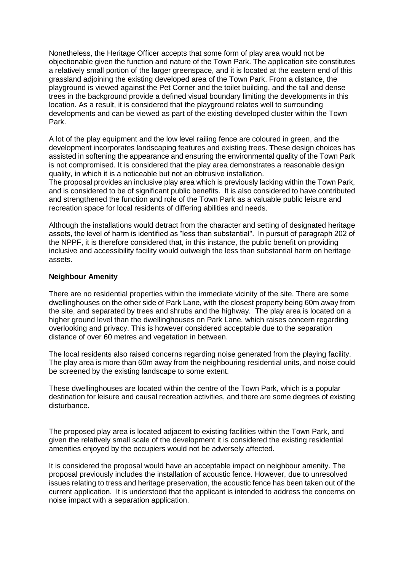Nonetheless, the Heritage Officer accepts that some form of play area would not be objectionable given the function and nature of the Town Park. The application site constitutes a relatively small portion of the larger greenspace, and it is located at the eastern end of this grassland adjoining the existing developed area of the Town Park. From a distance, the playground is viewed against the Pet Corner and the toilet building, and the tall and dense trees in the background provide a defined visual boundary limiting the developments in this location. As a result, it is considered that the playground relates well to surrounding developments and can be viewed as part of the existing developed cluster within the Town Park.

A lot of the play equipment and the low level railing fence are coloured in green, and the development incorporates landscaping features and existing trees. These design choices has assisted in softening the appearance and ensuring the environmental quality of the Town Park is not compromised. It is considered that the play area demonstrates a reasonable design quality, in which it is a noticeable but not an obtrusive installation.

The proposal provides an inclusive play area which is previously lacking within the Town Park, and is considered to be of significant public benefits. It is also considered to have contributed and strengthened the function and role of the Town Park as a valuable public leisure and recreation space for local residents of differing abilities and needs.

Although the installations would detract from the character and setting of designated heritage assets, the level of harm is identified as "less than substantial". In pursuit of paragraph 202 of the NPPF, it is therefore considered that, in this instance, the public benefit on providing inclusive and accessibility facility would outweigh the less than substantial harm on heritage assets.

#### **Neighbour Amenity**

There are no residential properties within the immediate vicinity of the site. There are some dwellinghouses on the other side of Park Lane, with the closest property being 60m away from the site, and separated by trees and shrubs and the highway. The play area is located on a higher ground level than the dwellinghouses on Park Lane, which raises concern regarding overlooking and privacy. This is however considered acceptable due to the separation distance of over 60 metres and vegetation in between.

The local residents also raised concerns regarding noise generated from the playing facility. The play area is more than 60m away from the neighbouring residential units, and noise could be screened by the existing landscape to some extent.

These dwellinghouses are located within the centre of the Town Park, which is a popular destination for leisure and causal recreation activities, and there are some degrees of existing disturbance.

The proposed play area is located adjacent to existing facilities within the Town Park, and given the relatively small scale of the development it is considered the existing residential amenities enjoyed by the occupiers would not be adversely affected.

It is considered the proposal would have an acceptable impact on neighbour amenity. The proposal previously includes the installation of acoustic fence. However, due to unresolved issues relating to tress and heritage preservation, the acoustic fence has been taken out of the current application. It is understood that the applicant is intended to address the concerns on noise impact with a separation application.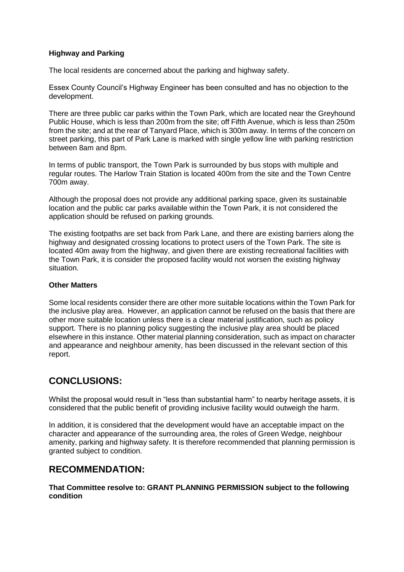## **Highway and Parking**

The local residents are concerned about the parking and highway safety.

Essex County Council's Highway Engineer has been consulted and has no objection to the development.

There are three public car parks within the Town Park, which are located near the Greyhound Public House, which is less than 200m from the site; off Fifth Avenue, which is less than 250m from the site; and at the rear of Tanyard Place, which is 300m away. In terms of the concern on street parking, this part of Park Lane is marked with single yellow line with parking restriction between 8am and 8pm.

In terms of public transport, the Town Park is surrounded by bus stops with multiple and regular routes. The Harlow Train Station is located 400m from the site and the Town Centre 700m away.

Although the proposal does not provide any additional parking space, given its sustainable location and the public car parks available within the Town Park, it is not considered the application should be refused on parking grounds.

The existing footpaths are set back from Park Lane, and there are existing barriers along the highway and designated crossing locations to protect users of the Town Park. The site is located 40m away from the highway, and given there are existing recreational facilities with the Town Park, it is consider the proposed facility would not worsen the existing highway situation.

#### **Other Matters**

Some local residents consider there are other more suitable locations within the Town Park for the inclusive play area. However, an application cannot be refused on the basis that there are other more suitable location unless there is a clear material justification, such as policy support. There is no planning policy suggesting the inclusive play area should be placed elsewhere in this instance. Other material planning consideration, such as impact on character and appearance and neighbour amenity, has been discussed in the relevant section of this report.

# **CONCLUSIONS:**

Whilst the proposal would result in "less than substantial harm" to nearby heritage assets, it is considered that the public benefit of providing inclusive facility would outweigh the harm.

In addition, it is considered that the development would have an acceptable impact on the character and appearance of the surrounding area, the roles of Green Wedge, neighbour amenity, parking and highway safety. It is therefore recommended that planning permission is granted subject to condition.

# **RECOMMENDATION:**

**That Committee resolve to: GRANT PLANNING PERMISSION subject to the following condition**